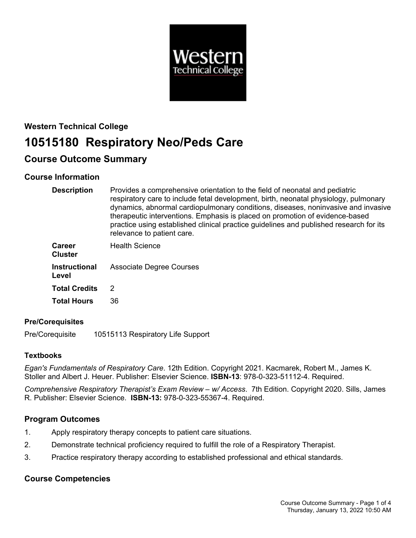

# **Western Technical College 10515180 Respiratory Neo/Peds Care**

# **Course Outcome Summary**

# **Course Information**

| <b>Description</b>              | Provides a comprehensive orientation to the field of neonatal and pediatric<br>respiratory care to include fetal development, birth, neonatal physiology, pulmonary<br>dynamics, abnormal cardiopulmonary conditions, diseases, noninvasive and invasive<br>therapeutic interventions. Emphasis is placed on promotion of evidence-based<br>practice using established clinical practice guidelines and published research for its<br>relevance to patient care. |
|---------------------------------|------------------------------------------------------------------------------------------------------------------------------------------------------------------------------------------------------------------------------------------------------------------------------------------------------------------------------------------------------------------------------------------------------------------------------------------------------------------|
| <b>Career</b><br><b>Cluster</b> | <b>Health Science</b>                                                                                                                                                                                                                                                                                                                                                                                                                                            |
| <b>Instructional</b><br>Level   | <b>Associate Degree Courses</b>                                                                                                                                                                                                                                                                                                                                                                                                                                  |
| <b>Total Credits</b>            | 2                                                                                                                                                                                                                                                                                                                                                                                                                                                                |
| <b>Total Hours</b>              | 36                                                                                                                                                                                                                                                                                                                                                                                                                                                               |

# **Pre/Corequisites**

Pre/Corequisite 10515113 Respiratory Life Support

# **Textbooks**

*Egan's Fundamentals of Respiratory Care*. 12th Edition. Copyright 2021. Kacmarek, Robert M., James K. Stoller and Albert J. Heuer. Publisher: Elsevier Science. **ISBN-13**: 978-0-323-51112-4. Required.

*Comprehensive Respiratory Therapist's Exam Review – w/ Access*. 7th Edition. Copyright 2020. Sills, James R. Publisher: Elsevier Science. **ISBN-13:** 978-0-323-55367-4. Required.

# **Program Outcomes**

- 1. Apply respiratory therapy concepts to patient care situations.
- 2. Demonstrate technical proficiency required to fulfill the role of a Respiratory Therapist.
- 3. Practice respiratory therapy according to established professional and ethical standards.

# **Course Competencies**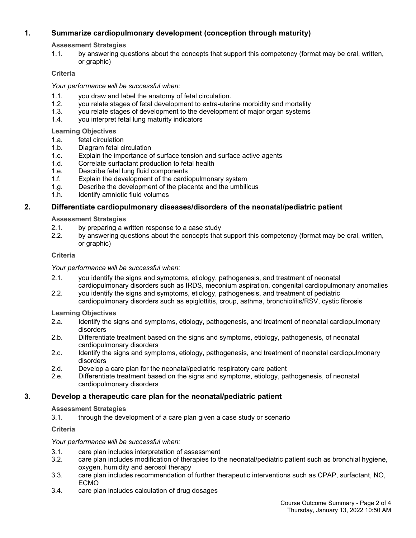# **1. Summarize cardiopulmonary development (conception through maturity)**

**Assessment Strategies**

1.1. by answering questions about the concepts that support this competency (format may be oral, written, or graphic)

# **Criteria**

*Your performance will be successful when:*

- 1.1. you draw and label the anatomy of fetal circulation.
- 1.2. you relate stages of fetal development to extra-uterine morbidity and mortality
- 1.3. you relate stages of development to the development of major organ systems
- 1.4. you interpret fetal lung maturity indicators

# **Learning Objectives**

- 1.a. fetal circulation
- 1.b. Diagram fetal circulation
- 1.c. Explain the importance of surface tension and surface active agents
- 1.d. Correlate surfactant production to fetal health
- 1.e. Describe fetal lung fluid components
- 1.f. Explain the development of the cardiopulmonary system
- 1.g. Describe the development of the placenta and the umbilicus
- 1.h. Identify amniotic fluid volumes

# **2. Differentiate cardiopulmonary diseases/disorders of the neonatal/pediatric patient**

## **Assessment Strategies**

- 2.1. by preparing a written response to a case study
- 2.2. by answering questions about the concepts that support this competency (format may be oral, written, or graphic)

## **Criteria**

*Your performance will be successful when:*

- 2.1. you identify the signs and symptoms, etiology, pathogenesis, and treatment of neonatal cardiopulmonary disorders such as IRDS, meconium aspiration, congenital cardiopulmonary anomalies
- 2.2. you identify the signs and symptoms, etiology, pathogenesis, and treatment of pediatric cardiopulmonary disorders such as epiglottitis, croup, asthma, bronchiolitis/RSV, cystic fibrosis

## **Learning Objectives**

- 2.a. Identify the signs and symptoms, etiology, pathogenesis, and treatment of neonatal cardiopulmonary disorders
- 2.b. Differentiate treatment based on the signs and symptoms, etiology, pathogenesis, of neonatal cardiopulmonary disorders
- 2.c. Identify the signs and symptoms, etiology, pathogenesis, and treatment of neonatal cardiopulmonary disorders
- 2.d. Develop a care plan for the neonatal/pediatric respiratory care patient
- 2.e. Differentiate treatment based on the signs and symptoms, etiology, pathogenesis, of neonatal cardiopulmonary disorders

# **3. Develop a therapeutic care plan for the neonatal/pediatric patient**

## **Assessment Strategies**

3.1. through the development of a care plan given a case study or scenario

## **Criteria**

## *Your performance will be successful when:*

- 3.1. care plan includes interpretation of assessment
- 3.2. care plan includes modification of therapies to the neonatal/pediatric patient such as bronchial hygiene, oxygen, humidity and aerosol therapy
- 3.3. care plan includes recommendation of further therapeutic interventions such as CPAP, surfactant, NO, ECMO
- 3.4. care plan includes calculation of drug dosages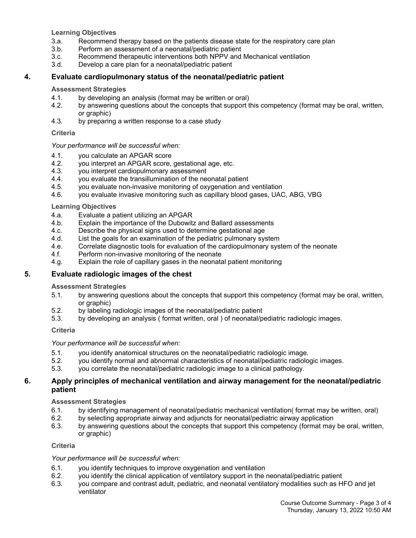**Learning Objectives**

- 3.a. Recommend therapy based on the patients disease state for the respiratory care plan
- 3.b. Perform an assessment of a neonatal/pediatric patient
- 3.c. Recommend therapeutic interventions both NPPV and Mechanical ventilation
- 3.d. Develop a care plan for a neonatal/pediatric patient

#### **4. Evaluate cardiopulmonary status of the neonatal/pediatric patient**

#### **Assessment Strategies**

- 4.1. by developing an analysis (format may be written or oral)
- 4.2. by answering questions about the concepts that support this competency (format may be oral, written, or graphic)
- 4.3. by preparing a written response to a case study

#### **Criteria**

#### *Your performance will be successful when:*

- 4.1. you calculate an APGAR score
- 4.2. you interpret an APGAR score, gestational age, etc.
- 4.3. you interpret cardiopulmonary assessment
- 4.4. you evaluate the transillumination of the neonatal patient
- 4.5. you evaluate non-invasive monitoring of oxygenation and ventilation
- 4.6. you evaluate invasive monitoring such as capillary blood gases, UAC, ABG, VBG

#### **Learning Objectives**

- 4.a. Evaluate a patient utilizing an APGAR
- 4.b. Explain the importance of the Dubowitz and Ballard assessments
- 4.c. Describe the physical signs used to determine gestational age
- 4.d. List the goals for an examination of the pediatric pulmonary system
- 4.e. Correlate diagnostic tools for evaluation of the cardiopulmonary system of the neonate 4.f. Perform non-invasive monitoring of the neonate
- Perform non-invasive monitoring of the neonate
- 4.g. Explain the role of capillary gases in the neonatal patient monitoring

## **5. Evaluate radiologic images of the chest**

#### **Assessment Strategies**

- 5.1. by answering questions about the concepts that support this competency (format may be oral, written, or graphic)
- 5.2. by labeling radiologic images of the neonatal/pediatric patient
- 5.3. by developing an analysis ( format written, oral ) of neonatal/pediatric radiologic images.

#### **Criteria**

#### *Your performance will be successful when:*

- 5.1. you identify anatomical structures on the neonatal/pediatric radiologic image.
- 5.2. you identify normal and abnormal characteristics of neonatal/pediatric radiologic images.
- 5.3. you correlate the neonatal/pediatric radiologic image to a clinical pathology.

#### **6. Apply principles of mechanical ventilation and airway management for the neonatal/pediatric patient**

#### **Assessment Strategies**

- 6.1. by identifying management of neonatal/pediatric mechanical ventilation( format may be written, oral)
- 6.2. by selecting appropriate airway and adjuncts for neonatal/pediatric airway application
- 6.3. by answering questions about the concepts that support this competency (format may be oral, written, or graphic)

#### **Criteria**

#### *Your performance will be successful when:*

- 6.1. you identify techniques to improve oxygenation and ventilation
- 6.2. you identify the clinical application of ventilatory support in the neonatal/pediatric patient
- 6.3. you compare and contrast adult, pediatric, and neonatal ventilatory modalities such as HFO and jet ventilator